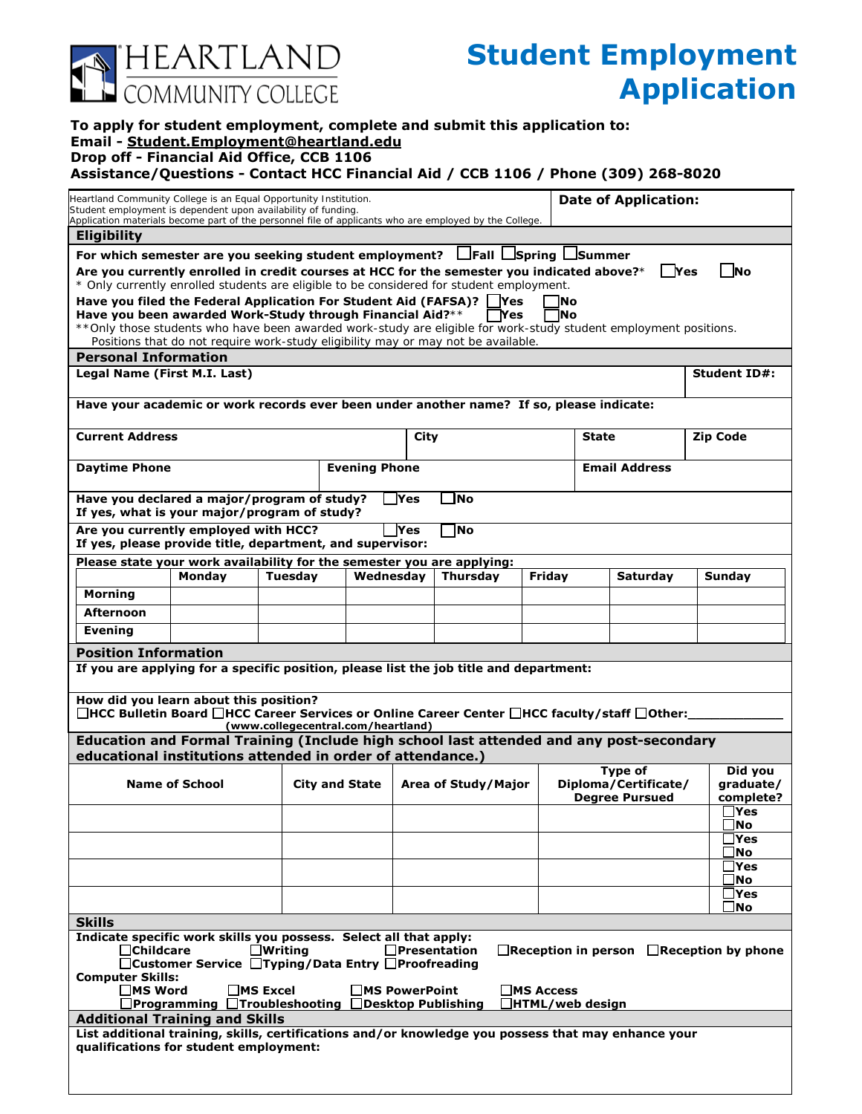

## **Student Employment Application**

## **To apply for student employment, complete and submit this application to: Email - Student.Employment@heartland.edu**

## **Drop off - Financial Aid Office, CCB 1106**

**Assistance/Questions - Contact HCC Financial Aid / CCB 1106 / Phone (309) 268-8020**

| Heartland Community College is an Equal Opportunity Institution.<br>Student employment is dependent upon availability of funding.                                                                                                        |                                                                     |                |                                    |             |                     |                  |                       | <b>Date of Application:</b>                             |                         |  |  |  |
|------------------------------------------------------------------------------------------------------------------------------------------------------------------------------------------------------------------------------------------|---------------------------------------------------------------------|----------------|------------------------------------|-------------|---------------------|------------------|-----------------------|---------------------------------------------------------|-------------------------|--|--|--|
| Application materials become part of the personnel file of applicants who are employed by the College.                                                                                                                                   |                                                                     |                |                                    |             |                     |                  |                       |                                                         |                         |  |  |  |
| <b>Eligibility</b>                                                                                                                                                                                                                       |                                                                     |                |                                    |             |                     |                  |                       |                                                         |                         |  |  |  |
| For which semester are you seeking student employment?   Fall   Spring   Summer<br>Are you currently enrolled in credit courses at HCC for the semester you indicated above?*<br>l Yes<br><b>INo</b>                                     |                                                                     |                |                                    |             |                     |                  |                       |                                                         |                         |  |  |  |
| * Only currently enrolled students are eligible to be considered for student employment.                                                                                                                                                 |                                                                     |                |                                    |             |                     |                  |                       |                                                         |                         |  |  |  |
| Have you filed the Federal Application For Student Aid (FAFSA)?<br><b>Yes</b><br><b>INo</b><br>Have you been awarded Work-Study through Financial Aid?**<br>lNo<br>$\blacksquare$ Yes                                                    |                                                                     |                |                                    |             |                     |                  |                       |                                                         |                         |  |  |  |
| ** Only those students who have been awarded work-study are eligible for work-study student employment positions.                                                                                                                        |                                                                     |                |                                    |             |                     |                  |                       |                                                         |                         |  |  |  |
| Positions that do not require work-study eligibility may or may not be available.                                                                                                                                                        |                                                                     |                |                                    |             |                     |                  |                       |                                                         |                         |  |  |  |
| <b>Personal Information</b><br>Legal Name (First M.I. Last)<br><b>Student ID#:</b>                                                                                                                                                       |                                                                     |                |                                    |             |                     |                  |                       |                                                         |                         |  |  |  |
|                                                                                                                                                                                                                                          |                                                                     |                |                                    |             |                     |                  |                       |                                                         |                         |  |  |  |
| Have your academic or work records ever been under another name? If so, please indicate:                                                                                                                                                 |                                                                     |                |                                    |             |                     |                  |                       |                                                         |                         |  |  |  |
| <b>Current Address</b>                                                                                                                                                                                                                   |                                                                     |                |                                    | <b>City</b> |                     |                  | <b>State</b>          |                                                         | <b>Zip Code</b>         |  |  |  |
| <b>Daytime Phone</b>                                                                                                                                                                                                                     |                                                                     |                | <b>Evening Phone</b>               |             |                     |                  | <b>Email Address</b>  |                                                         |                         |  |  |  |
| <b>INo</b><br>Have you declared a major/program of study?<br><b>Yes</b><br>If yes, what is your major/program of study?                                                                                                                  |                                                                     |                |                                    |             |                     |                  |                       |                                                         |                         |  |  |  |
| Are you currently employed with HCC?<br><b>Yes</b><br>1No<br>If yes, please provide title, department, and supervisor:                                                                                                                   |                                                                     |                |                                    |             |                     |                  |                       |                                                         |                         |  |  |  |
| Please state your work availability for the semester you are applying:                                                                                                                                                                   |                                                                     |                |                                    |             |                     |                  |                       |                                                         |                         |  |  |  |
|                                                                                                                                                                                                                                          | Monday                                                              | <b>Tuesday</b> |                                    | Wednesdav   | <b>Thursday</b>     | Fridav           |                       | Saturday                                                | Sunday                  |  |  |  |
| <b>Morning</b>                                                                                                                                                                                                                           |                                                                     |                |                                    |             |                     |                  |                       |                                                         |                         |  |  |  |
| <b>Afternoon</b>                                                                                                                                                                                                                         |                                                                     |                |                                    |             |                     |                  |                       |                                                         |                         |  |  |  |
| <b>Evening</b>                                                                                                                                                                                                                           |                                                                     |                |                                    |             |                     |                  |                       |                                                         |                         |  |  |  |
| <b>Position Information</b><br>If you are applying for a specific position, please list the job title and department:                                                                                                                    |                                                                     |                |                                    |             |                     |                  |                       |                                                         |                         |  |  |  |
| How did you learn about this position?<br>□HCC Bulletin Board □HCC Career Services or Online Career Center □HCC faculty/staff □Other:_                                                                                                   |                                                                     |                |                                    |             |                     |                  |                       |                                                         |                         |  |  |  |
|                                                                                                                                                                                                                                          |                                                                     |                | (www.collegecentral.com/heartland) |             |                     |                  |                       |                                                         |                         |  |  |  |
| Education and Formal Training (Include high school last attended and any post-secondary<br>educational institutions attended in order of attendance.)                                                                                    |                                                                     |                |                                    |             |                     |                  |                       |                                                         |                         |  |  |  |
| <b>Name of School</b>                                                                                                                                                                                                                    |                                                                     |                |                                    |             | Area of Study/Major |                  |                       | Did you<br>Type of<br>Diploma/Certificate/<br>araduate/ |                         |  |  |  |
|                                                                                                                                                                                                                                          |                                                                     |                | <b>City and State</b>              |             |                     |                  | <b>Degree Pursued</b> |                                                         | complete?               |  |  |  |
|                                                                                                                                                                                                                                          |                                                                     |                |                                    |             |                     |                  |                       |                                                         | $\exists$ Yes           |  |  |  |
|                                                                                                                                                                                                                                          |                                                                     |                |                                    |             |                     |                  |                       |                                                         | Mo]<br><b>TYes</b>      |  |  |  |
|                                                                                                                                                                                                                                          |                                                                     |                |                                    |             |                     |                  |                       |                                                         | _No                     |  |  |  |
|                                                                                                                                                                                                                                          |                                                                     |                |                                    |             |                     |                  |                       |                                                         | <b>Yes</b><br>$\Box$ No |  |  |  |
|                                                                                                                                                                                                                                          |                                                                     |                |                                    |             |                     |                  |                       |                                                         | ∃Yes                    |  |  |  |
| <b>Skills</b>                                                                                                                                                                                                                            |                                                                     |                |                                    |             |                     |                  |                       |                                                         | _No                     |  |  |  |
| Indicate specific work skills you possess. Select all that apply:<br><b>Childcare</b><br>Presentation<br>$\Box$ Writing<br>$\Box$ Reception in person $\Box$ Reception by phone<br>□ Customer Service □ Typing/Data Entry □ Proofreading |                                                                     |                |                                    |             |                     |                  |                       |                                                         |                         |  |  |  |
| <b>Computer Skills:</b><br>$\square$ MS Word<br>$\Box$ MS Excel<br><b>MS PowerPoint</b><br>$\Box$ MS Access                                                                                                                              |                                                                     |                |                                    |             |                     |                  |                       |                                                         |                         |  |  |  |
|                                                                                                                                                                                                                                          | $\Box$ Programming $\Box$ Troubleshooting $\Box$ Desktop Publishing |                |                                    |             |                     | HTML/web design[ |                       |                                                         |                         |  |  |  |
| <b>Additional Training and Skills</b>                                                                                                                                                                                                    |                                                                     |                |                                    |             |                     |                  |                       |                                                         |                         |  |  |  |
| List additional training, skills, certifications and/or knowledge you possess that may enhance your<br>qualifications for student employment:                                                                                            |                                                                     |                |                                    |             |                     |                  |                       |                                                         |                         |  |  |  |